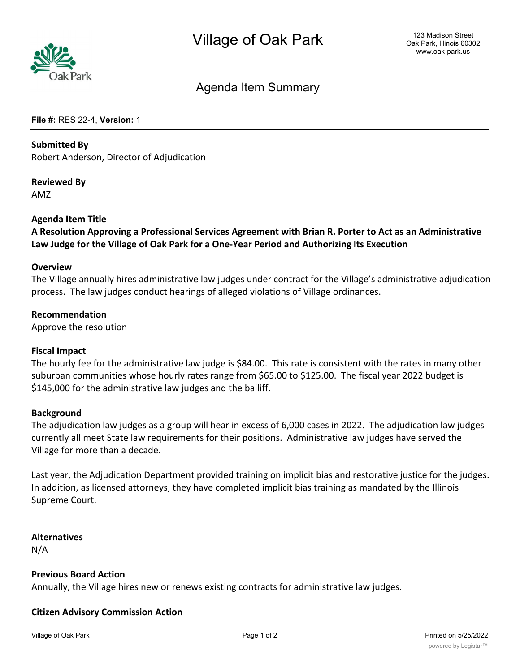

# Agenda Item Summary

**File #:** RES 22-4, **Version:** 1

#### **Submitted By**

Robert Anderson, Director of Adjudication

## **Reviewed By**

AMZ

#### **Agenda Item Title**

**A Resolution Approving a Professional Services Agreement with Brian R. Porter to Act as an Administrative Law Judge for the Village of Oak Park for a One-Year Period and Authorizing Its Execution**

#### **Overview**

The Village annually hires administrative law judges under contract for the Village's administrative adjudication process. The law judges conduct hearings of alleged violations of Village ordinances.

## **Recommendation**

Approve the resolution

#### **Fiscal Impact**

The hourly fee for the administrative law judge is \$84.00. This rate is consistent with the rates in many other suburban communities whose hourly rates range from \$65.00 to \$125.00. The fiscal year 2022 budget is \$145,000 for the administrative law judges and the bailiff.

#### **Background**

The adjudication law judges as a group will hear in excess of 6,000 cases in 2022. The adjudication law judges currently all meet State law requirements for their positions. Administrative law judges have served the Village for more than a decade.

Last year, the Adjudication Department provided training on implicit bias and restorative justice for the judges. In addition, as licensed attorneys, they have completed implicit bias training as mandated by the Illinois Supreme Court.

## **Alternatives**

N/A

#### **Previous Board Action**

Annually, the Village hires new or renews existing contracts for administrative law judges.

## **Citizen Advisory Commission Action**